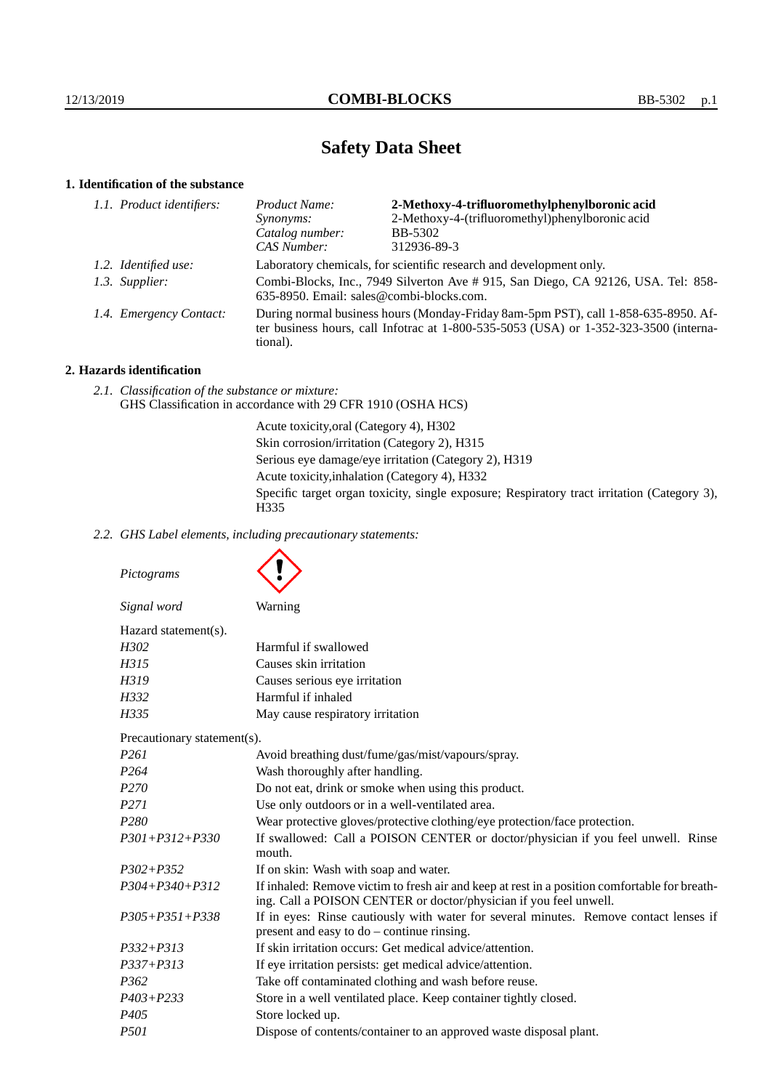# **Safety Data Sheet**

# **1. Identification of the substance**

| 1.1. Product identifiers: | Product Name:                                                                                                                                                                           | 2-Methoxy-4-trifluoromethylphenylboronic acid   |
|---------------------------|-----------------------------------------------------------------------------------------------------------------------------------------------------------------------------------------|-------------------------------------------------|
|                           | Synonyms:                                                                                                                                                                               | 2-Methoxy-4-(trifluoromethyl)phenylboronic acid |
|                           | Catalog number:                                                                                                                                                                         | <b>BB-5302</b>                                  |
|                           | CAS Number:                                                                                                                                                                             | 312936-89-3                                     |
|                           | Laboratory chemicals, for scientific research and development only.                                                                                                                     |                                                 |
|                           | Combi-Blocks, Inc., 7949 Silverton Ave # 915, San Diego, CA 92126, USA. Tel: 858-<br>635-8950. Email: sales@combi-blocks.com.                                                           |                                                 |
|                           | During normal business hours (Monday-Friday 8am-5pm PST), call 1-858-635-8950. Af-<br>ter business hours, call Infotrac at 1-800-535-5053 (USA) or 1-352-323-3500 (interna-<br>tional). |                                                 |
|                           | 1.2. Identified use:<br>1.3. Supplier:<br>1.4. Emergency Contact:                                                                                                                       |                                                 |

# **2. Hazards identification**

*2.1. Classification of the substance or mixture:* GHS Classification in accordance with 29 CFR 1910 (OSHA HCS)

> Acute toxicity,oral (Category 4), H302 Skin corrosion/irritation (Category 2), H315 Serious eye damage/eye irritation (Category 2), H319 Acute toxicity,inhalation (Category 4), H332 Specific target organ toxicity, single exposure; Respiratory tract irritation (Category 3), H335

*2.2. GHS Label elements, including precautionary statements:*

| Pictograms                  |                                                                                                                                                                    |
|-----------------------------|--------------------------------------------------------------------------------------------------------------------------------------------------------------------|
| Signal word                 | Warning                                                                                                                                                            |
| Hazard statement(s).        |                                                                                                                                                                    |
| H302                        | Harmful if swallowed                                                                                                                                               |
| H315                        | Causes skin irritation                                                                                                                                             |
| H319                        | Causes serious eye irritation                                                                                                                                      |
| H332                        | Harmful if inhaled                                                                                                                                                 |
| H335                        | May cause respiratory irritation                                                                                                                                   |
| Precautionary statement(s). |                                                                                                                                                                    |
| P <sub>261</sub>            | Avoid breathing dust/fume/gas/mist/vapours/spray.                                                                                                                  |
| P <sub>264</sub>            | Wash thoroughly after handling.                                                                                                                                    |
| P270                        | Do not eat, drink or smoke when using this product.                                                                                                                |
| P <sub>271</sub>            | Use only outdoors or in a well-ventilated area.                                                                                                                    |
| P <sub>280</sub>            | Wear protective gloves/protective clothing/eye protection/face protection.                                                                                         |
| $P301 + P312 + P330$        | If swallowed: Call a POISON CENTER or doctor/physician if you feel unwell. Rinse<br>mouth.                                                                         |
| $P302 + P352$               | If on skin: Wash with soap and water.                                                                                                                              |
| $P304 + P340 + P312$        | If inhaled: Remove victim to fresh air and keep at rest in a position comfortable for breath-<br>ing. Call a POISON CENTER or doctor/physician if you feel unwell. |
| $P305 + P351 + P338$        | If in eyes: Rinse cautiously with water for several minutes. Remove contact lenses if<br>present and easy to do – continue rinsing.                                |
| $P332 + P313$               | If skin irritation occurs: Get medical advice/attention.                                                                                                           |
| $P337 + P313$               | If eye irritation persists: get medical advice/attention.                                                                                                          |
| P <sub>362</sub>            | Take off contaminated clothing and wash before reuse.                                                                                                              |
| $P403 + P233$               | Store in a well ventilated place. Keep container tightly closed.                                                                                                   |
| P405                        | Store locked up.                                                                                                                                                   |
| P501                        | Dispose of contents/container to an approved waste disposal plant.                                                                                                 |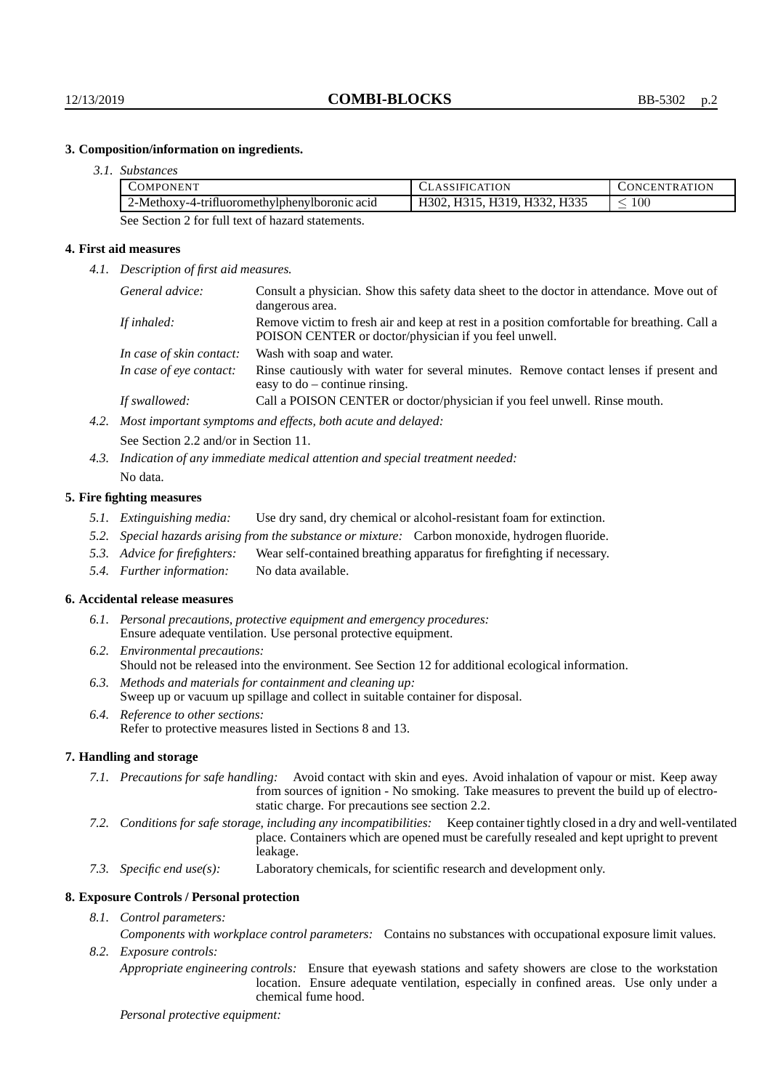# **3. Composition/information on ingredients.**

| 3.1. Substances |
|-----------------|
|                 |

| -------------                                     |                              |                      |  |
|---------------------------------------------------|------------------------------|----------------------|--|
| <b>COMPONENT</b>                                  | <b>CLASSIFICATION</b>        | <b>CONCENTRATION</b> |  |
| 2-Methoxy-4-trifluoromethylphenylboronic acid     | H302, H315, H319, H332, H335 | 100                  |  |
| See Section 2 for full text of hazard statements. |                              |                      |  |

#### **4. First aid measures**

*4.1. Description of first aid measures.*

| General advice:          | Consult a physician. Show this safety data sheet to the doctor in attendance. Move out of<br>dangerous area.                                         |
|--------------------------|------------------------------------------------------------------------------------------------------------------------------------------------------|
| If inhaled:              | Remove victim to fresh air and keep at rest in a position comfortable for breathing. Call a<br>POISON CENTER or doctor/physician if you feel unwell. |
| In case of skin contact: | Wash with soap and water.                                                                                                                            |
| In case of eye contact:  | Rinse cautiously with water for several minutes. Remove contact lenses if present and<br>easy to $do$ – continue rinsing.                            |
| If swallowed:            | Call a POISON CENTER or doctor/physician if you feel unwell. Rinse mouth.                                                                            |
|                          |                                                                                                                                                      |

- *4.2. Most important symptoms and effects, both acute and delayed:* See Section 2.2 and/or in Section 11.
- *4.3. Indication of any immediate medical attention and special treatment needed:* No data.

#### **5. Fire fighting measures**

- *5.1. Extinguishing media:* Use dry sand, dry chemical or alcohol-resistant foam for extinction.
- *5.2. Special hazards arising from the substance or mixture:* Carbon monoxide, hydrogen fluoride.
- *5.3. Advice for firefighters:* Wear self-contained breathing apparatus for firefighting if necessary.
- *5.4. Further information:* No data available.

#### **6. Accidental release measures**

- *6.1. Personal precautions, protective equipment and emergency procedures:* Ensure adequate ventilation. Use personal protective equipment.
- *6.2. Environmental precautions:* Should not be released into the environment. See Section 12 for additional ecological information.
- *6.3. Methods and materials for containment and cleaning up:* Sweep up or vacuum up spillage and collect in suitable container for disposal.
- *6.4. Reference to other sections:* Refer to protective measures listed in Sections 8 and 13.

### **7. Handling and storage**

- *7.1. Precautions for safe handling:* Avoid contact with skin and eyes. Avoid inhalation of vapour or mist. Keep away from sources of ignition - No smoking. Take measures to prevent the build up of electrostatic charge. For precautions see section 2.2.
- *7.2. Conditions for safe storage, including any incompatibilities:* Keep container tightly closed in a dry and well-ventilated place. Containers which are opened must be carefully resealed and kept upright to prevent leakage.
- *7.3. Specific end use(s):* Laboratory chemicals, for scientific research and development only.

#### **8. Exposure Controls / Personal protection**

## *8.1. Control parameters:*

*Components with workplace control parameters:* Contains no substances with occupational exposure limit values. *8.2. Exposure controls:*

*Appropriate engineering controls:* Ensure that eyewash stations and safety showers are close to the workstation location. Ensure adequate ventilation, especially in confined areas. Use only under a chemical fume hood.

#### *Personal protective equipment:*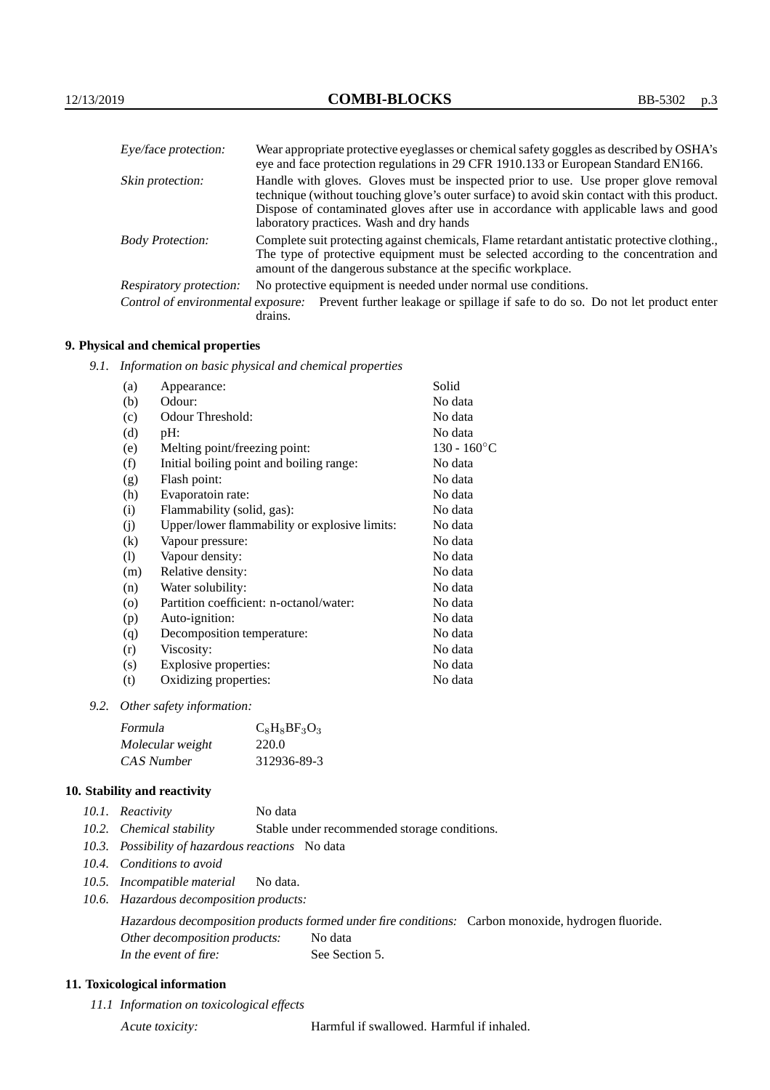| Eye/face protection:    | Wear appropriate protective eyeglasses or chemical safety goggles as described by OSHA's<br>eye and face protection regulations in 29 CFR 1910.133 or European Standard EN166.                                                                                                                                         |
|-------------------------|------------------------------------------------------------------------------------------------------------------------------------------------------------------------------------------------------------------------------------------------------------------------------------------------------------------------|
| Skin protection:        | Handle with gloves. Gloves must be inspected prior to use. Use proper glove removal<br>technique (without touching glove's outer surface) to avoid skin contact with this product.<br>Dispose of contaminated gloves after use in accordance with applicable laws and good<br>laboratory practices. Wash and dry hands |
| <b>Body Protection:</b> | Complete suit protecting against chemicals, Flame retardant antistatic protective clothing.,<br>The type of protective equipment must be selected according to the concentration and<br>amount of the dangerous substance at the specific workplace.                                                                   |
| Respiratory protection: | No protective equipment is needed under normal use conditions.                                                                                                                                                                                                                                                         |
|                         | Control of environmental exposure: Prevent further leakage or spillage if safe to do so. Do not let product enter                                                                                                                                                                                                      |

Control of environmental exposure: Prevent further leakage or spillage if safe to do so. Do not let product enter drains.

# **9. Physical and chemical properties**

*9.1. Information on basic physical and chemical properties*

| (a)                        | Appearance:                                   | Solid                |
|----------------------------|-----------------------------------------------|----------------------|
| (b)                        | Odour:                                        | No data              |
| (c)                        | Odour Threshold:                              | No data              |
| (d)                        | pH:                                           | No data              |
| (e)                        | Melting point/freezing point:                 | $130 - 160^{\circ}C$ |
| (f)                        | Initial boiling point and boiling range:      | No data              |
| (g)                        | Flash point:                                  | No data              |
| (h)                        | Evaporatoin rate:                             | No data              |
| (i)                        | Flammability (solid, gas):                    | No data              |
| (j)                        | Upper/lower flammability or explosive limits: | No data              |
| (k)                        | Vapour pressure:                              | No data              |
| $\left( \mathrm{l}\right)$ | Vapour density:                               | No data              |
| (m)                        | Relative density:                             | No data              |
| (n)                        | Water solubility:                             | No data              |
| $\rm (o)$                  | Partition coefficient: n-octanol/water:       | No data              |
| (p)                        | Auto-ignition:                                | No data              |
| (q)                        | Decomposition temperature:                    | No data              |
| (r)                        | Viscosity:                                    | No data              |
| (s)                        | Explosive properties:                         | No data              |
| (t)                        | Oxidizing properties:                         | No data              |
|                            |                                               |                      |

*9.2. Other safety information:*

| Formula          | $C_8H_8BF_3O_3$ |
|------------------|-----------------|
| Molecular weight | 220.0           |
| CAS Number       | 312936-89-3     |

#### **10. Stability and reactivity**

- *10.1. Reactivity* No data
- *10.2. Chemical stability* Stable under recommended storage conditions.
- *10.3. Possibility of hazardous reactions* No data
- *10.4. Conditions to avoid*
- *10.5. Incompatible material* No data.
- *10.6. Hazardous decomposition products:*

Hazardous decomposition products formed under fire conditions: Carbon monoxide, hydrogen fluoride. Other decomposition products: No data In the event of fire: See Section 5.

# **11. Toxicological information**

*11.1 Information on toxicological effects*

Acute toxicity: Harmful if swallowed. Harmful if inhaled.